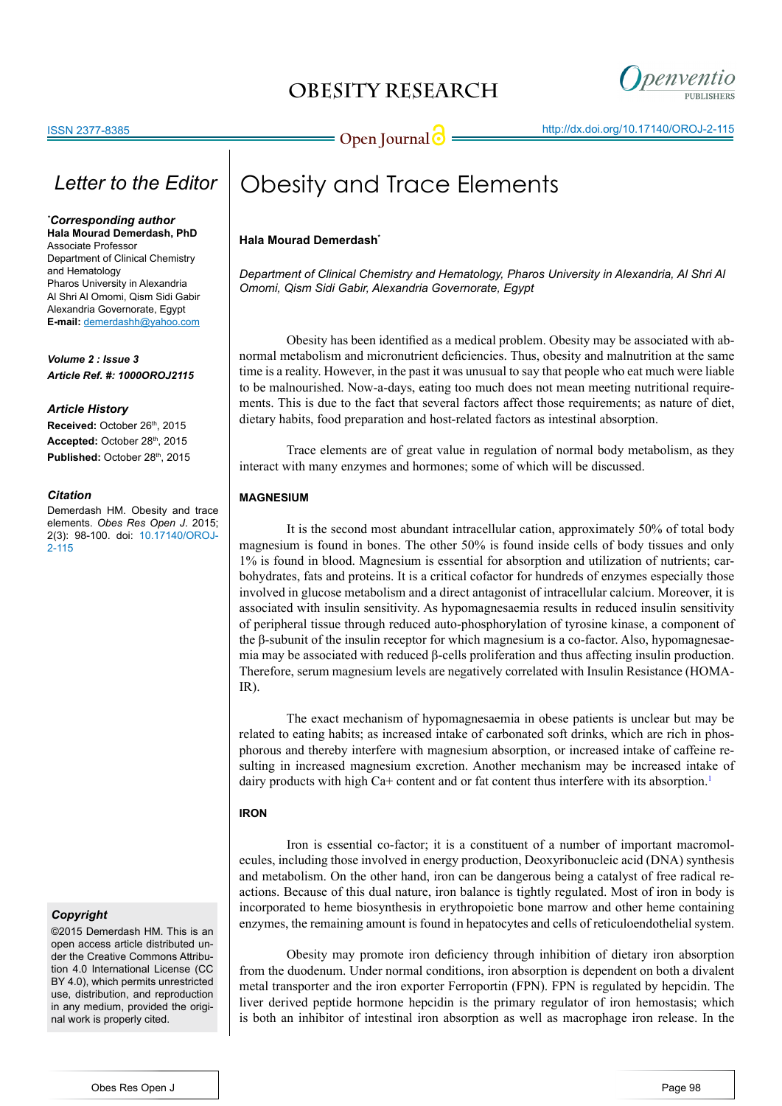# **OBESITY RESEARCH**



# *Letter to the Editor*

*\* Corresponding author* **Hala Mourad Demerdash, PhD**

Associate Professor Department of Clinical Chemistry and Hematology Pharos University in Alexandria Al Shri Al Omomi, Qism Sidi Gabir Alexandria Governorate, Egypt **E-mail:** demerdashh@yahoo.com

*Volume 2 : Issue 3 Article Ref. #: 1000OROJ2115*

#### *Article History*

Received: October 26<sup>th</sup>, 2015 Accepted: October 28th, 2015 Published: October 28<sup>th</sup>, 2015

#### *Citation*

Demerdash HM. Obesity and trace elements. *Obes Res Open J*. 2015; 2(3): 98-100. doi: [10.17140/OROJ-](http://openventio.org/Volume2_Issue3/Obesity_and_Trace_Elements_OROJ_2_115.pdf)[2-115](http://openventio.org/Volume2_Issue3/Obesity_and_Trace_Elements_OROJ_2_115.pdf)

### *Copyright*

©2015 Demerdash HM. This is an open access article distributed under the Creative Commons Attribution 4.0 International License (CC BY 4.0), which permits unrestricted use, distribution, and reproduction in any medium, provided the original work is properly cited.

# Obesity and Trace Elements

## **Hala Mourad Demerdash\***

*Department of Clinical Chemistry and Hematology, Pharos University in Alexandria, Al Shri Al Omomi, Qism Sidi Gabir, Alexandria Governorate, Egypt*

 Obesity has been identified as a medical problem. Obesity may be associated with abnormal metabolism and micronutrient deficiencies. Thus, obesity and malnutrition at the same time is a reality. However, in the past it was unusual to say that people who eat much were liable to be malnourished. Now-a-days, eating too much does not mean meeting nutritional requirements. This is due to the fact that several factors affect those requirements; as nature of diet, dietary habits, food preparation and host-related factors as intestinal absorption.

 Trace elements are of great value in regulation of normal body metabolism, as they interact with many enzymes and hormones; some of which will be discussed.

### **MAGNESIUM**

 It is the second most abundant intracellular cation, approximately 50% of total body magnesium is found in bones. The other 50% is found inside cells of body tissues and only 1% is found in blood. Magnesium is essential for absorption and utilization of nutrients; carbohydrates, fats and proteins. It is a critical cofactor for hundreds of enzymes especially those involved in glucose metabolism and a direct antagonist of intracellular calcium. Moreover, it is associated with insulin sensitivity. As hypomagnesaemia results in reduced insulin sensitivity of peripheral tissue through reduced auto-phosphorylation of tyrosine kinase, a component of the β-subunit of the insulin receptor for which magnesium is a co-factor. Also, hypomagnesaemia may be associated with reduced β-cells proliferation and thus affecting insulin production. Therefore, serum magnesium levels are negatively correlated with Insulin Resistance (HOMA-IR).

 The exact mechanism of hypomagnesaemia in obese patients is unclear but may be related to eating habits; as increased intake of carbonated soft drinks, which are rich in phosphorous and thereby interfere with magnesium absorption, or increased intake of caffeine resulting in increased magnesium excretion. Another mechanism may be increased intake of dairy products with high Ca+ content and or fat content thus interfere with its absorption.<sup>[1](#page-2-0)</sup>

### **IRON**

 Iron is essential co-factor; it is a constituent of a number of important macromolecules, including those involved in energy production, Deoxyribonucleic acid (DNA) synthesis and metabolism. On the other hand, iron can be dangerous being a catalyst of free radical reactions. Because of this dual nature, iron balance is tightly regulated. Most of iron in body is incorporated to heme biosynthesis in erythropoietic bone marrow and other heme containing enzymes, the remaining amount is found in hepatocytes and cells of reticuloendothelial system.

 Obesity may promote iron deficiency through inhibition of dietary iron absorption from the duodenum. Under normal conditions, iron absorption is dependent on both a divalent metal transporter and the iron exporter Ferroportin (FPN). FPN is regulated by hepcidin. The liver derived peptide hormone hepcidin is the primary regulator of iron hemostasis; which is both an inhibitor of intestinal iron absorption as well as macrophage iron release. In the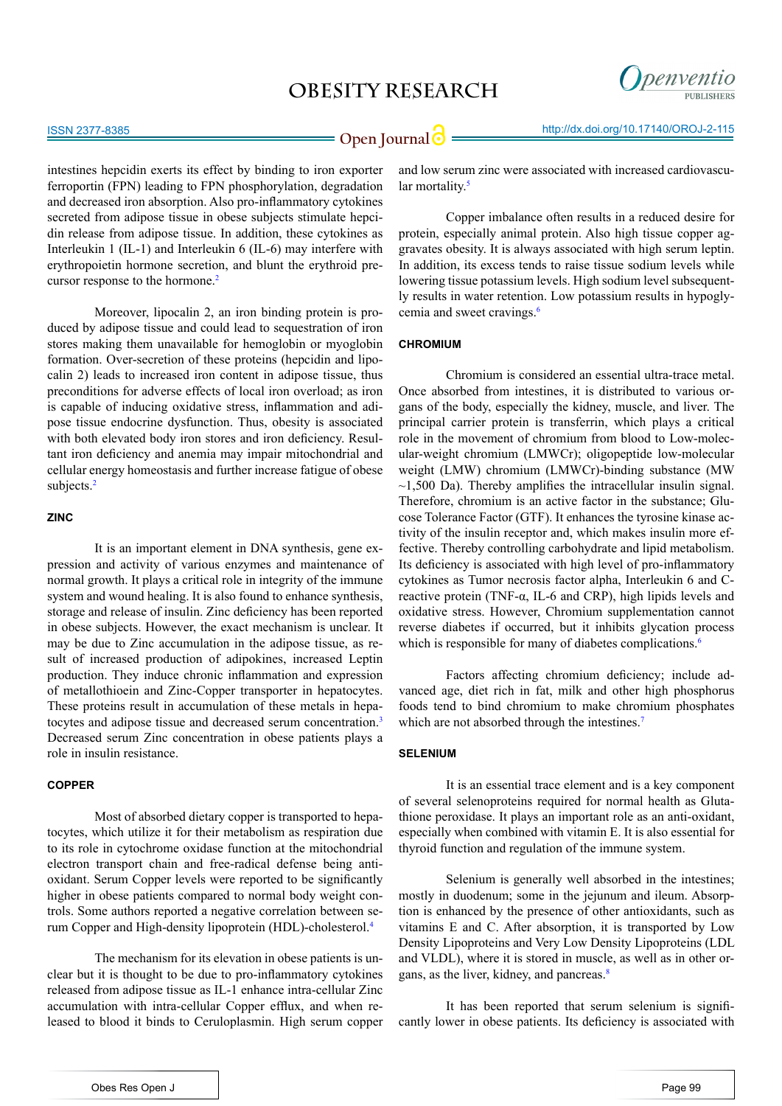## **OBESITY RESEARCH**



intestines hepcidin exerts its effect by binding to iron exporter ferroportin (FPN) leading to FPN phosphorylation, degradation and decreased iron absorption. Also pro-inflammatory cytokines secreted from adipose tissue in obese subjects stimulate hepcidin release from adipose tissue. In addition, these cytokines as Interleukin 1 (IL-1) and Interleukin 6 (IL-6) may interfere with erythropoietin hormone secretion, and blunt the erythroid pre-cursor response to the hormone.<sup>[2](#page-2-1)</sup>

 Moreover, lipocalin 2, an iron binding protein is produced by adipose tissue and could lead to sequestration of iron stores making them unavailable for hemoglobin or myoglobin formation. Over-secretion of these proteins (hepcidin and lipocalin 2) leads to increased iron content in adipose tissue, thus preconditions for adverse effects of local iron overload; as iron is capable of inducing oxidative stress, inflammation and adipose tissue endocrine dysfunction. Thus, obesity is associated with both elevated body iron stores and iron deficiency. Resultant iron deficiency and anemia may impair mitochondrial and cellular energy homeostasis and further increase fatigue of obese subjects.<sup>[2](#page-2-1)</sup>

#### **ZINC**

 It is an important element in DNA synthesis, gene expression and activity of various enzymes and maintenance of normal growth. It plays a critical role in integrity of the immune system and wound healing. It is also found to enhance synthesis, storage and release of insulin. Zinc deficiency has been reported in obese subjects. However, the exact mechanism is unclear. It may be due to Zinc accumulation in the adipose tissue, as result of increased production of adipokines, increased Leptin production. They induce chronic inflammation and expression of metallothioein and Zinc-Copper transporter in hepatocytes. These proteins result in accumulation of these metals in hepatocytes and adipose tissue and decreased serum concentration.[3](#page-2-2)  Decreased serum Zinc concentration in obese patients plays a role in insulin resistance.

### **COPPER**

 Most of absorbed dietary copper is transported to hepatocytes, which utilize it for their metabolism as respiration due to its role in cytochrome oxidase function at the mitochondrial electron transport chain and free-radical defense being antioxidant. Serum Copper levels were reported to be significantly higher in obese patients compared to normal body weight controls. Some authors reported a negative correlation between serum Copper and High-density lipoprotein (HDL)-cholesterol.[4](#page-2-3)

 The mechanism for its elevation in obese patients is unclear but it is thought to be due to pro-inflammatory cytokines released from adipose tissue as IL-1 enhance intra-cellular Zinc accumulation with intra-cellular Copper efflux, and when released to blood it binds to Ceruloplasmin. High serum copper and low serum zinc were associated with increased cardiovascular mortality.<sup>5</sup>

 Copper imbalance often results in a reduced desire for protein, especially animal protein. Also high tissue copper aggravates obesity. It is always associated with high serum leptin. In addition, its excess tends to raise tissue sodium levels while lowering tissue potassium levels. High sodium level subsequently results in water retention. Low potassium results in hypoglycemia and sweet cravings.[6](#page-2-5)

### **CHROMIUM**

 Chromium is considered an essential ultra-trace metal. Once absorbed from intestines, it is distributed to various organs of the body, especially the kidney, muscle, and liver. The principal carrier protein is transferrin, which plays a critical role in the movement of chromium from blood to Low-molecular-weight chromium (LMWCr); oligopeptide low-molecular weight (LMW) chromium (LMWCr)-binding substance (MW  $\sim$ 1,500 Da). Thereby amplifies the intracellular insulin signal. Therefore, chromium is an active factor in the substance; Glucose Tolerance Factor (GTF). It enhances the tyrosine kinase activity of the insulin receptor and, which makes insulin more effective. Thereby controlling carbohydrate and lipid metabolism. Its deficiency is associated with high level of pro-inflammatory cytokines as Tumor necrosis factor alpha, Interleukin 6 and Creactive protein (TNF-α, IL-6 and CRP), high lipids levels and oxidative stress. However, Chromium supplementation cannot reverse diabetes if occurred, but it inhibits glycation process which is responsible for many of diabetes complications.<sup>6</sup>

 Factors affecting chromium deficiency; include advanced age, diet rich in fat, milk and other high phosphorus foods tend to bind chromium to make chromium phosphates which are not absorbed through the intestines.<sup>[7](#page-2-6)</sup>

### **SELENIUM**

 It is an essential trace element and is a key component of several selenoproteins required for normal health as Glutathione peroxidase. It plays an important role as an anti-oxidant, especially when combined with vitamin E. It is also essential for thyroid function and regulation of the immune system.

 Selenium is generally well absorbed in the intestines; mostly in duodenum; some in the jejunum and ileum. Absorption is enhanced by the presence of other antioxidants, such as vitamins E and C. After absorption, it is transported by Low Density Lipoproteins and Very Low Density Lipoproteins (LDL and VLDL), where it is stored in muscle, as well as in other or-gans, as the liver, kidney, and pancreas.<sup>[8](#page-2-7)</sup>

 It has been reported that serum selenium is significantly lower in obese patients. Its deficiency is associated with